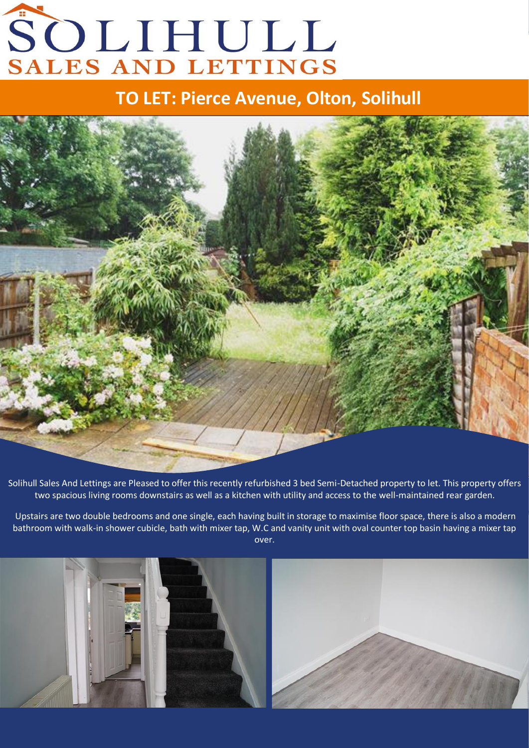## SOLIHULL<br>SALES AND LETTINGS

## **TO LET: Pierce Avenue, Olton, Solihull**



Solihull Sales And Lettings are Pleased to offer this recently refurbished 3 bed Semi-Detached property to let. This property offers two spacious living rooms downstairs as well as a kitchen with utility and access to the well-maintained rear garden.

Upstairs are two double bedrooms and one single, each having built in storage to maximise floor space, there is also a modern bathroom with walk-in shower cubicle, bath with mixer tap, W.C and vanity unit with oval counter top basin having a mixer tap over.

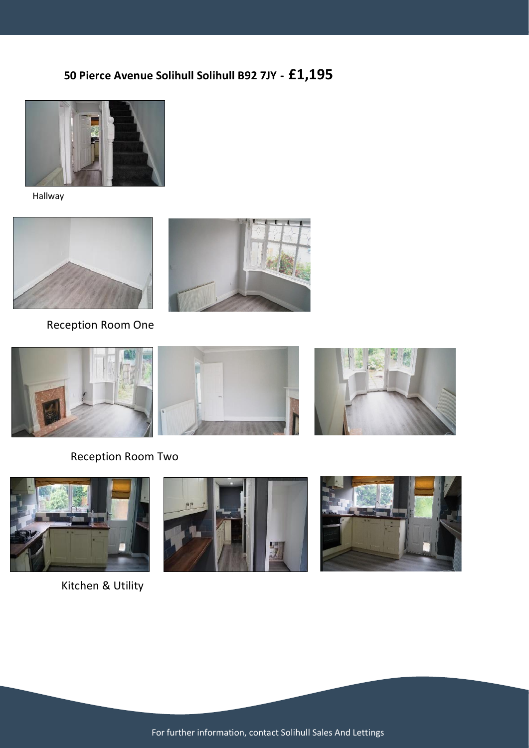## **50 Pierce Avenue Solihull Solihull B92 7JY - £1,195**



Hallway



Reception Room One





Reception Room Two



Kitchen & Utility



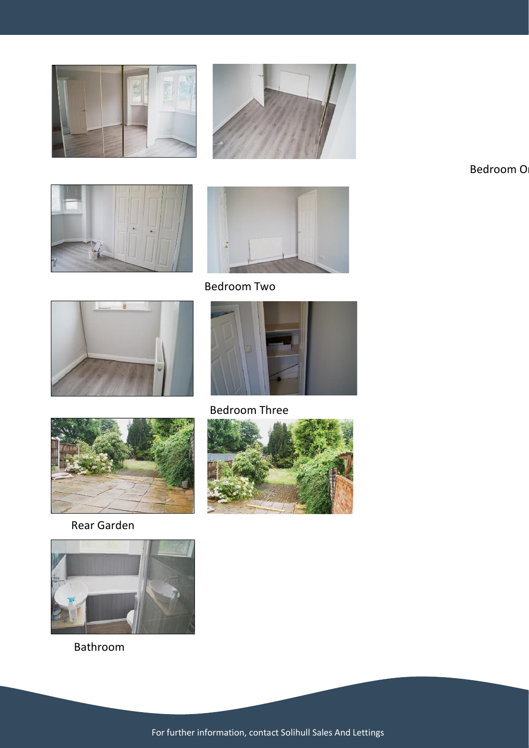







Bedroom Two



Bedroom Three



Rear Garden



Bathroom



Bedroom O

For further information, contact Solihull Sales And Lettings